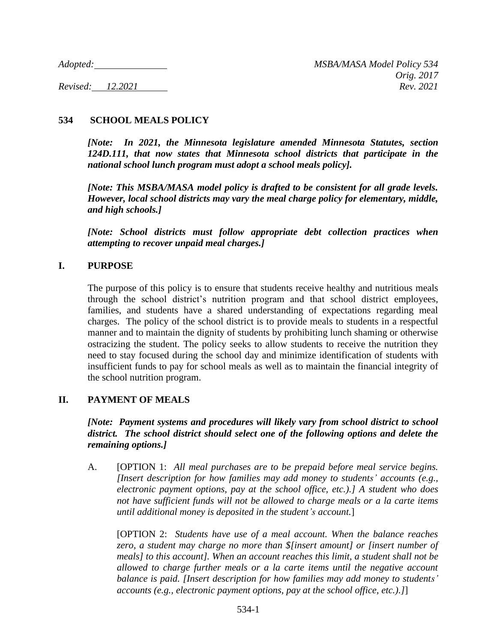# **534 SCHOOL MEALS POLICY**

*[Note: In 2021, the Minnesota legislature amended Minnesota Statutes, section 124D.111, that now states that Minnesota school districts that participate in the national school lunch program must adopt a school meals policy].*

*[Note: This MSBA/MASA model policy is drafted to be consistent for all grade levels. However, local school districts may vary the meal charge policy for elementary, middle, and high schools.]*

*[Note: School districts must follow appropriate debt collection practices when attempting to recover unpaid meal charges.]*

#### **I. PURPOSE**

The purpose of this policy is to ensure that students receive healthy and nutritious meals through the school district's nutrition program and that school district employees, families, and students have a shared understanding of expectations regarding meal charges. The policy of the school district is to provide meals to students in a respectful manner and to maintain the dignity of students by prohibiting lunch shaming or otherwise ostracizing the student. The policy seeks to allow students to receive the nutrition they need to stay focused during the school day and minimize identification of students with insufficient funds to pay for school meals as well as to maintain the financial integrity of the school nutrition program.

#### **II. PAYMENT OF MEALS**

### *[Note: Payment systems and procedures will likely vary from school district to school district. The school district should select one of the following options and delete the remaining options.]*

A. [OPTION 1: *All meal purchases are to be prepaid before meal service begins. [Insert description for how families may add money to students' accounts (e.g., electronic payment options, pay at the school office, etc.).] A student who does not have sufficient funds will not be allowed to charge meals or a la carte items until additional money is deposited in the student's account.*]

[OPTION 2: *Students have use of a meal account. When the balance reaches zero, a student may charge no more than \$[insert amount] or [insert number of meals] to this account]. When an account reaches this limit, a student shall not be allowed to charge further meals or a la carte items until the negative account balance is paid. [Insert description for how families may add money to students' accounts (e.g., electronic payment options, pay at the school office, etc.).]*]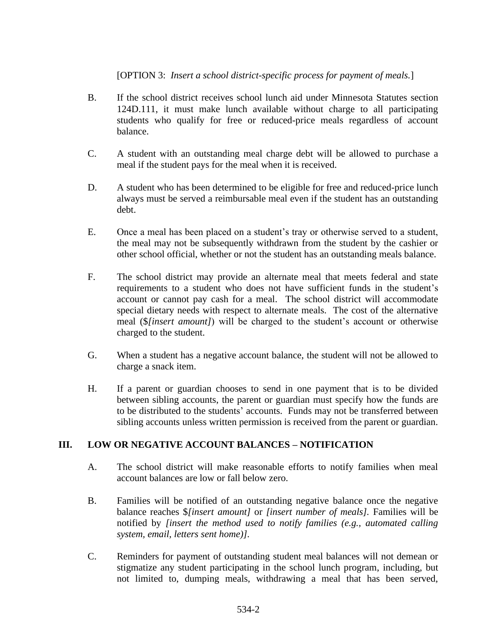### [OPTION 3: *Insert a school district-specific process for payment of meals.*]

- B. If the school district receives school lunch aid under Minnesota Statutes section 124D.111, it must make lunch available without charge to all participating students who qualify for free or reduced-price meals regardless of account balance.
- C. A student with an outstanding meal charge debt will be allowed to purchase a meal if the student pays for the meal when it is received.
- D. A student who has been determined to be eligible for free and reduced-price lunch always must be served a reimbursable meal even if the student has an outstanding debt.
- E. Once a meal has been placed on a student's tray or otherwise served to a student, the meal may not be subsequently withdrawn from the student by the cashier or other school official, whether or not the student has an outstanding meals balance.
- F. The school district may provide an alternate meal that meets federal and state requirements to a student who does not have sufficient funds in the student's account or cannot pay cash for a meal. The school district will accommodate special dietary needs with respect to alternate meals. The cost of the alternative meal (\$*[insert amount]*) will be charged to the student's account or otherwise charged to the student.
- G. When a student has a negative account balance, the student will not be allowed to charge a snack item.
- H. If a parent or guardian chooses to send in one payment that is to be divided between sibling accounts, the parent or guardian must specify how the funds are to be distributed to the students' accounts. Funds may not be transferred between sibling accounts unless written permission is received from the parent or guardian.

## **III. LOW OR NEGATIVE ACCOUNT BALANCES – NOTIFICATION**

- A. The school district will make reasonable efforts to notify families when meal account balances are low or fall below zero.
- B. Families will be notified of an outstanding negative balance once the negative balance reaches \$*[insert amount]* or *[insert number of meals].* Families will be notified by *[insert the method used to notify families (e.g., automated calling system, email, letters sent home)]*.
- C. Reminders for payment of outstanding student meal balances will not demean or stigmatize any student participating in the school lunch program, including, but not limited to, dumping meals, withdrawing a meal that has been served,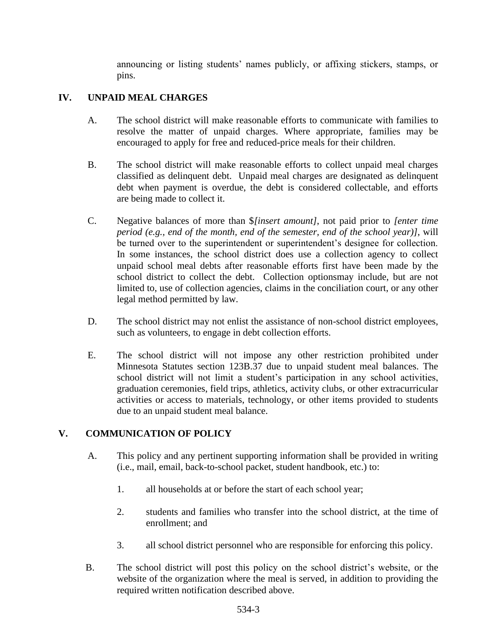announcing or listing students' names publicly, or affixing stickers, stamps, or pins.

# **IV. UNPAID MEAL CHARGES**

- A. The school district will make reasonable efforts to communicate with families to resolve the matter of unpaid charges. Where appropriate, families may be encouraged to apply for free and reduced-price meals for their children.
- B. The school district will make reasonable efforts to collect unpaid meal charges classified as delinquent debt. Unpaid meal charges are designated as delinquent debt when payment is overdue, the debt is considered collectable, and efforts are being made to collect it.
- C. Negative balances of more than \$*[insert amount]*, not paid prior to *[enter time period (e.g., end of the month, end of the semester, end of the school year)]*, will be turned over to the superintendent or superintendent's designee for collection. In some instances, the school district does use a collection agency to collect unpaid school meal debts after reasonable efforts first have been made by the school district to collect the debt. Collection optionsmay include, but are not limited to, use of collection agencies, claims in the conciliation court, or any other legal method permitted by law.
- D. The school district may not enlist the assistance of non-school district employees, such as volunteers, to engage in debt collection efforts.
- E. The school district will not impose any other restriction prohibited under Minnesota Statutes section 123B.37 due to unpaid student meal balances. The school district will not limit a student's participation in any school activities, graduation ceremonies, field trips, athletics, activity clubs, or other extracurricular activities or access to materials, technology, or other items provided to students due to an unpaid student meal balance.

## **V. COMMUNICATION OF POLICY**

- A. This policy and any pertinent supporting information shall be provided in writing (i.e., mail, email, back-to-school packet, student handbook, etc.) to:
	- 1. all households at or before the start of each school year;
	- 2. students and families who transfer into the school district, at the time of enrollment; and
	- 3. all school district personnel who are responsible for enforcing this policy.
- B. The school district will post this policy on the school district's website, or the website of the organization where the meal is served, in addition to providing the required written notification described above.